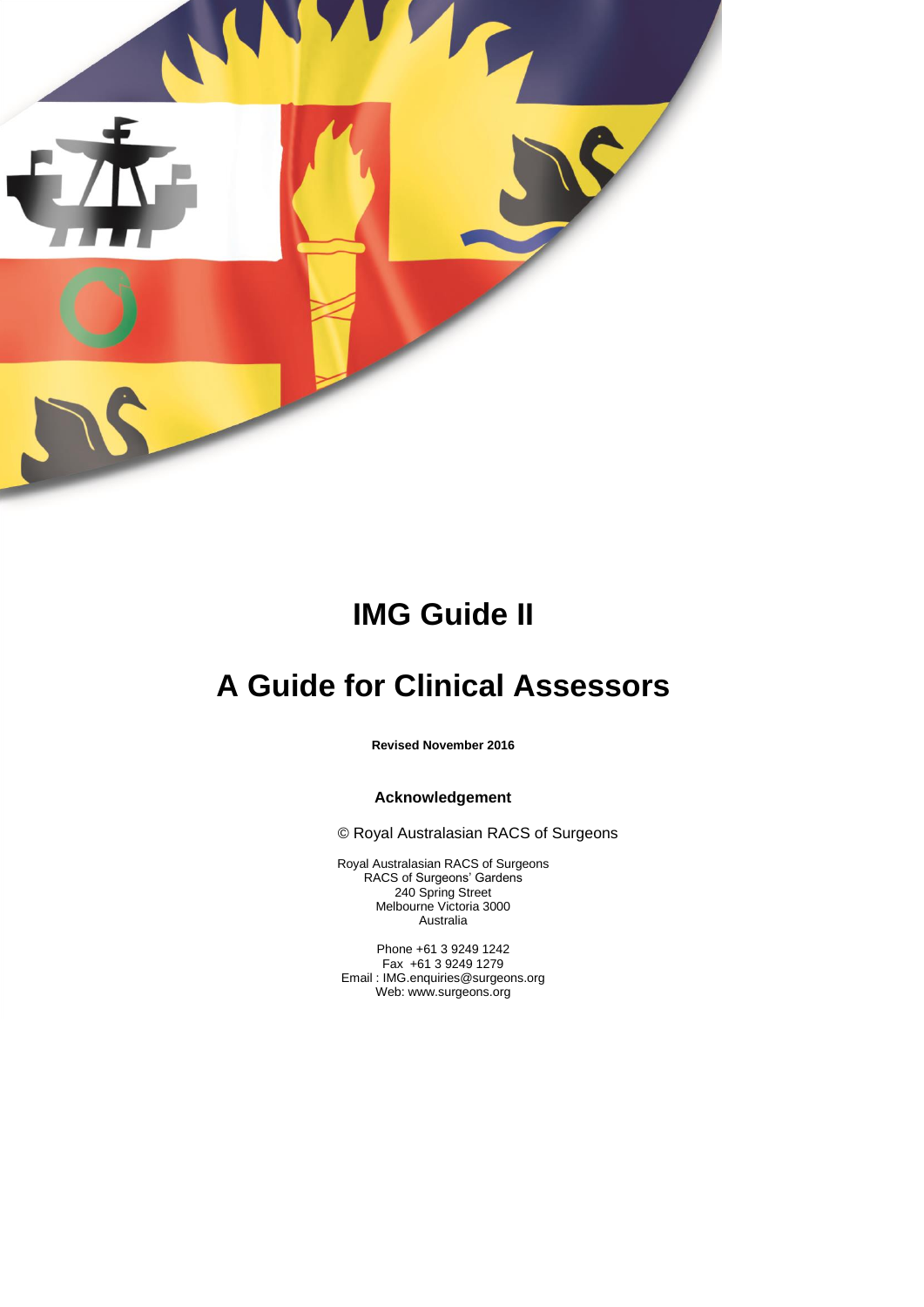

# **IMG Guide II**

# **A Guide for Clinical Assessors**

**Revised November 2016**

## **Acknowledgement**

© Royal Australasian RACS of Surgeons

Royal Australasian RACS of Surgeons RACS of Surgeons' Gardens 240 Spring Street Melbourne Victoria 3000 Australia

Phone +61 3 9249 1242 Fax +61 3 9249 1279 Email : IMG.enquiries@surgeons.org Web: www.surgeons.org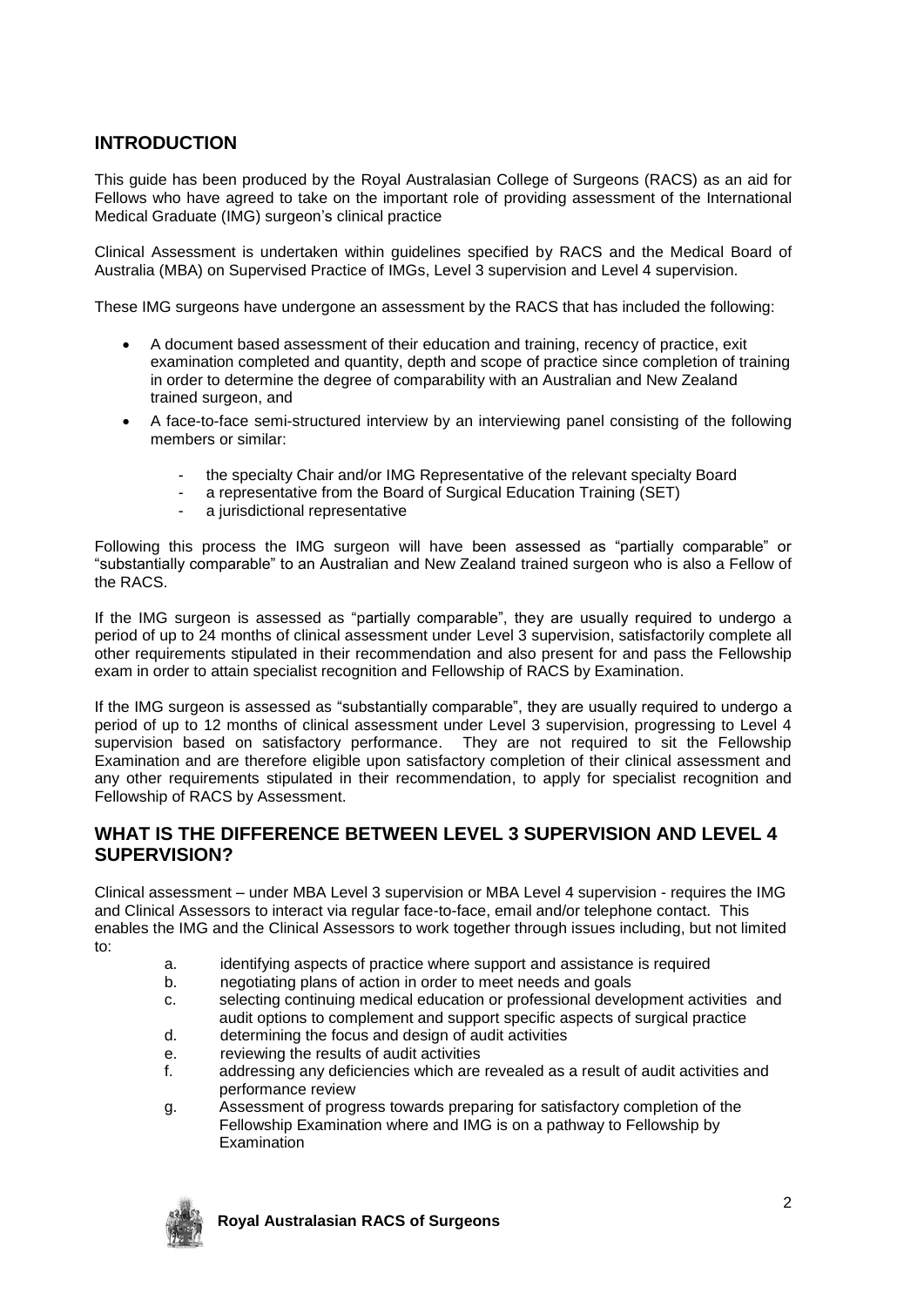# **INTRODUCTION**

This guide has been produced by the Royal Australasian College of Surgeons (RACS) as an aid for Fellows who have agreed to take on the important role of providing assessment of the International Medical Graduate (IMG) surgeon's clinical practice

Clinical Assessment is undertaken within guidelines specified by RACS and the Medical Board of Australia (MBA) on Supervised Practice of IMGs, Level 3 supervision and Level 4 supervision.

These IMG surgeons have undergone an assessment by the RACS that has included the following:

- A document based assessment of their education and training, recency of practice, exit examination completed and quantity, depth and scope of practice since completion of training in order to determine the degree of comparability with an Australian and New Zealand trained surgeon, and
- A face-to-face semi-structured interview by an interviewing panel consisting of the following members or similar:
	- the specialty Chair and/or IMG Representative of the relevant specialty Board
	- a representative from the Board of Surgical Education Training (SET)
	- a jurisdictional representative

Following this process the IMG surgeon will have been assessed as "partially comparable" or "substantially comparable" to an Australian and New Zealand trained surgeon who is also a Fellow of the RACS.

If the IMG surgeon is assessed as "partially comparable", they are usually required to undergo a period of up to 24 months of clinical assessment under Level 3 supervision, satisfactorily complete all other requirements stipulated in their recommendation and also present for and pass the Fellowship exam in order to attain specialist recognition and Fellowship of RACS by Examination.

If the IMG surgeon is assessed as "substantially comparable", they are usually required to undergo a period of up to 12 months of clinical assessment under Level 3 supervision, progressing to Level 4 supervision based on satisfactory performance. They are not required to sit the Fellowship Examination and are therefore eligible upon satisfactory completion of their clinical assessment and any other requirements stipulated in their recommendation, to apply for specialist recognition and Fellowship of RACS by Assessment.

# **WHAT IS THE DIFFERENCE BETWEEN LEVEL 3 SUPERVISION AND LEVEL 4 SUPERVISION?**

Clinical assessment – under MBA Level 3 supervision or MBA Level 4 supervision - requires the IMG and Clinical Assessors to interact via regular face-to-face, email and/or telephone contact. This enables the IMG and the Clinical Assessors to work together through issues including, but not limited to:

- a. identifying aspects of practice where support and assistance is required
- b. negotiating plans of action in order to meet needs and goals
- c. selecting continuing medical education or professional development activities and audit options to complement and support specific aspects of surgical practice
- d. determining the focus and design of audit activities
- e. reviewing the results of audit activities
- f. addressing any deficiencies which are revealed as a result of audit activities and performance review
- g. Assessment of progress towards preparing for satisfactory completion of the Fellowship Examination where and IMG is on a pathway to Fellowship by Examination

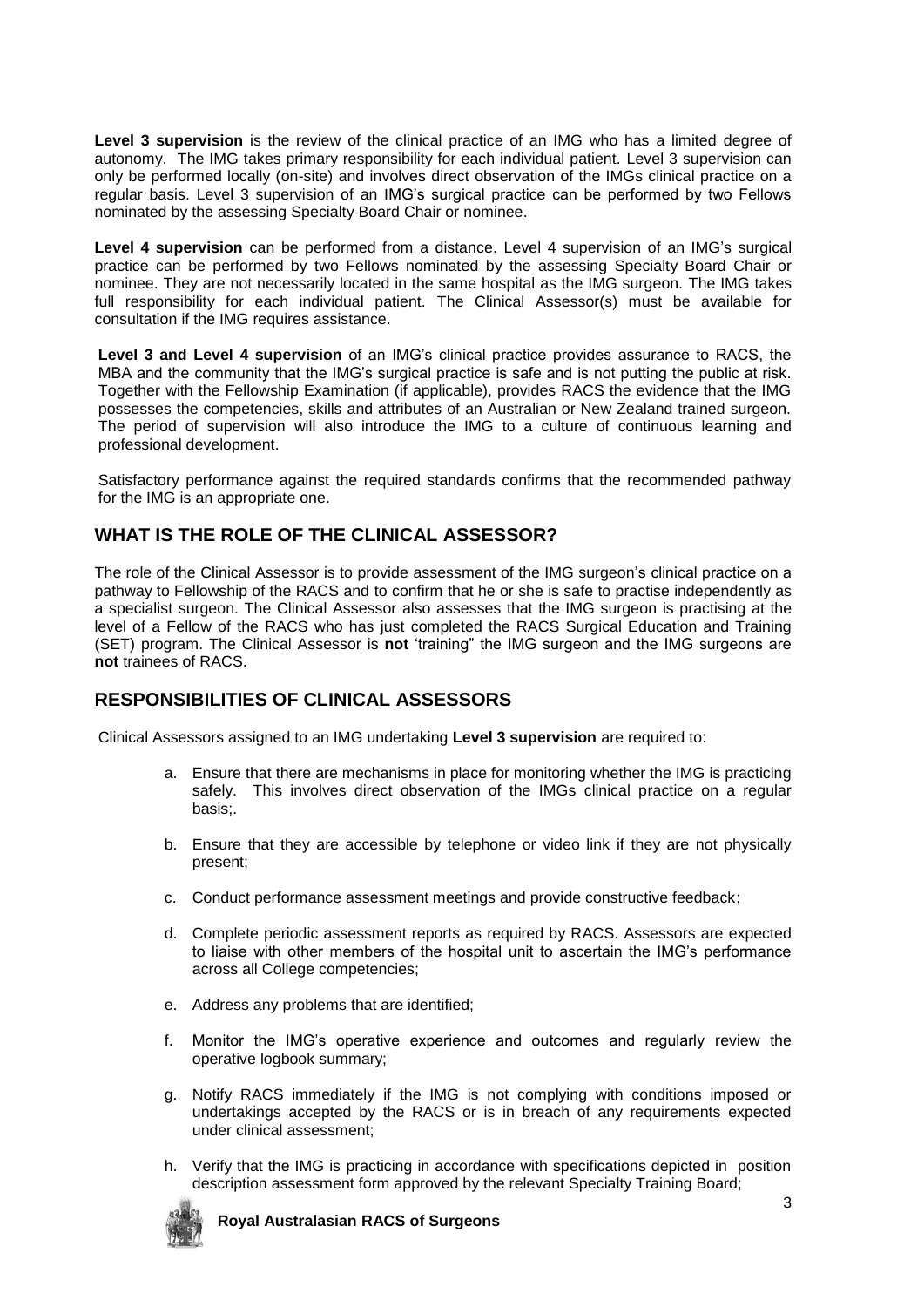Level 3 supervision is the review of the clinical practice of an IMG who has a limited degree of autonomy. The IMG takes primary responsibility for each individual patient. Level 3 supervision can only be performed locally (on-site) and involves direct observation of the IMGs clinical practice on a regular basis. Level 3 supervision of an IMG's surgical practice can be performed by two Fellows nominated by the assessing Specialty Board Chair or nominee.

**Level 4 supervision** can be performed from a distance. Level 4 supervision of an IMG's surgical practice can be performed by two Fellows nominated by the assessing Specialty Board Chair or nominee. They are not necessarily located in the same hospital as the IMG surgeon. The IMG takes full responsibility for each individual patient. The Clinical Assessor(s) must be available for consultation if the IMG requires assistance.

**Level 3 and Level 4 supervision** of an IMG's clinical practice provides assurance to RACS, the MBA and the community that the IMG's surgical practice is safe and is not putting the public at risk. Together with the Fellowship Examination (if applicable), provides RACS the evidence that the IMG possesses the competencies, skills and attributes of an Australian or New Zealand trained surgeon. The period of supervision will also introduce the IMG to a culture of continuous learning and professional development.

Satisfactory performance against the required standards confirms that the recommended pathway for the IMG is an appropriate one.

# **WHAT IS THE ROLE OF THE CLINICAL ASSESSOR?**

The role of the Clinical Assessor is to provide assessment of the IMG surgeon's clinical practice on a pathway to Fellowship of the RACS and to confirm that he or she is safe to practise independently as a specialist surgeon. The Clinical Assessor also assesses that the IMG surgeon is practising at the level of a Fellow of the RACS who has just completed the RACS Surgical Education and Training (SET) program. The Clinical Assessor is **not** 'training" the IMG surgeon and the IMG surgeons are **not** trainees of RACS.

# **RESPONSIBILITIES OF CLINICAL ASSESSORS**

Clinical Assessors assigned to an IMG undertaking **Level 3 supervision** are required to:

- a. Ensure that there are mechanisms in place for monitoring whether the IMG is practicing safely. This involves direct observation of the IMGs clinical practice on a regular basis;.
- b. Ensure that they are accessible by telephone or video link if they are not physically present;
- c. Conduct performance assessment meetings and provide constructive feedback;
- d. Complete periodic assessment reports as required by RACS. Assessors are expected to liaise with other members of the hospital unit to ascertain the IMG's performance across all College competencies;
- e. Address any problems that are identified;
- f. Monitor the IMG's operative experience and outcomes and regularly review the operative logbook summary;
- g. Notify RACS immediately if the IMG is not complying with conditions imposed or undertakings accepted by the RACS or is in breach of any requirements expected under clinical assessment;
- h. Verify that the IMG is practicing in accordance with specifications depicted in position description assessment form approved by the relevant Specialty Training Board;

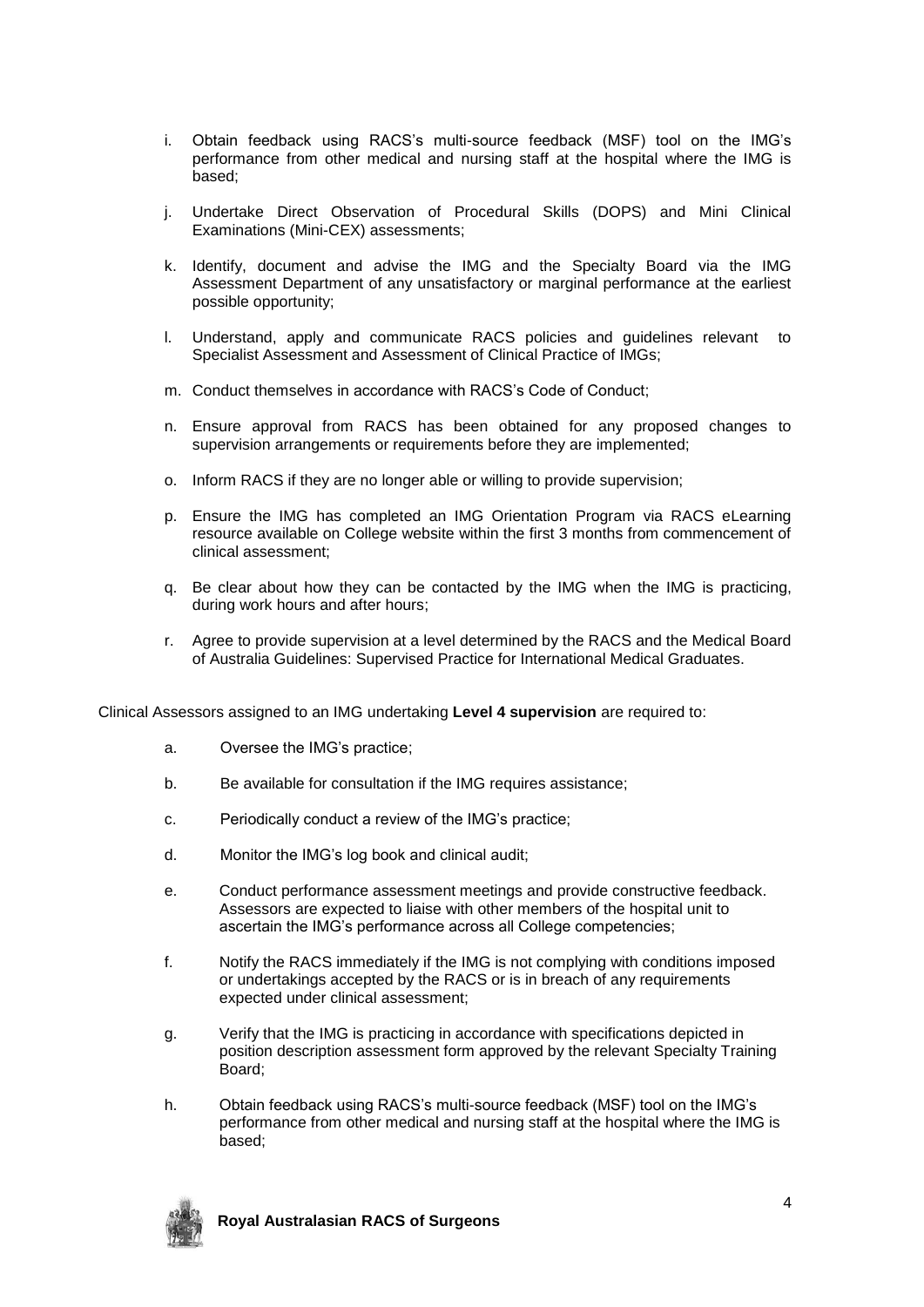- i. Obtain feedback using RACS's multi-source feedback (MSF) tool on the IMG's performance from other medical and nursing staff at the hospital where the IMG is based;
- j. Undertake Direct Observation of Procedural Skills (DOPS) and Mini Clinical Examinations (Mini-CEX) assessments;
- k. Identify, document and advise the IMG and the Specialty Board via the IMG Assessment Department of any unsatisfactory or marginal performance at the earliest possible opportunity;
- l. Understand, apply and communicate RACS policies and guidelines relevant to Specialist Assessment and Assessment of Clinical Practice of IMGs;
- m. Conduct themselves in accordance with RACS's Code of Conduct;
- n. Ensure approval from RACS has been obtained for any proposed changes to supervision arrangements or requirements before they are implemented;
- o. Inform RACS if they are no longer able or willing to provide supervision;
- p. Ensure the IMG has completed an IMG Orientation Program via RACS eLearning resource available on College website within the first 3 months from commencement of clinical assessment;
- q. Be clear about how they can be contacted by the IMG when the IMG is practicing, during work hours and after hours;
- r. Agree to provide supervision at a level determined by the RACS and the Medical Board of Australia Guidelines: Supervised Practice for International Medical Graduates.

Clinical Assessors assigned to an IMG undertaking **Level 4 supervision** are required to:

- a. Oversee the IMG's practice;
- b. Be available for consultation if the IMG requires assistance;
- c. Periodically conduct a review of the IMG's practice;
- d. Monitor the IMG's log book and clinical audit;
- e. Conduct performance assessment meetings and provide constructive feedback. Assessors are expected to liaise with other members of the hospital unit to ascertain the IMG's performance across all College competencies;
- f. Notify the RACS immediately if the IMG is not complying with conditions imposed or undertakings accepted by the RACS or is in breach of any requirements expected under clinical assessment;
- g. Verify that the IMG is practicing in accordance with specifications depicted in position description assessment form approved by the relevant Specialty Training Board;
- h. Obtain feedback using RACS's multi-source feedback (MSF) tool on the IMG's performance from other medical and nursing staff at the hospital where the IMG is based;

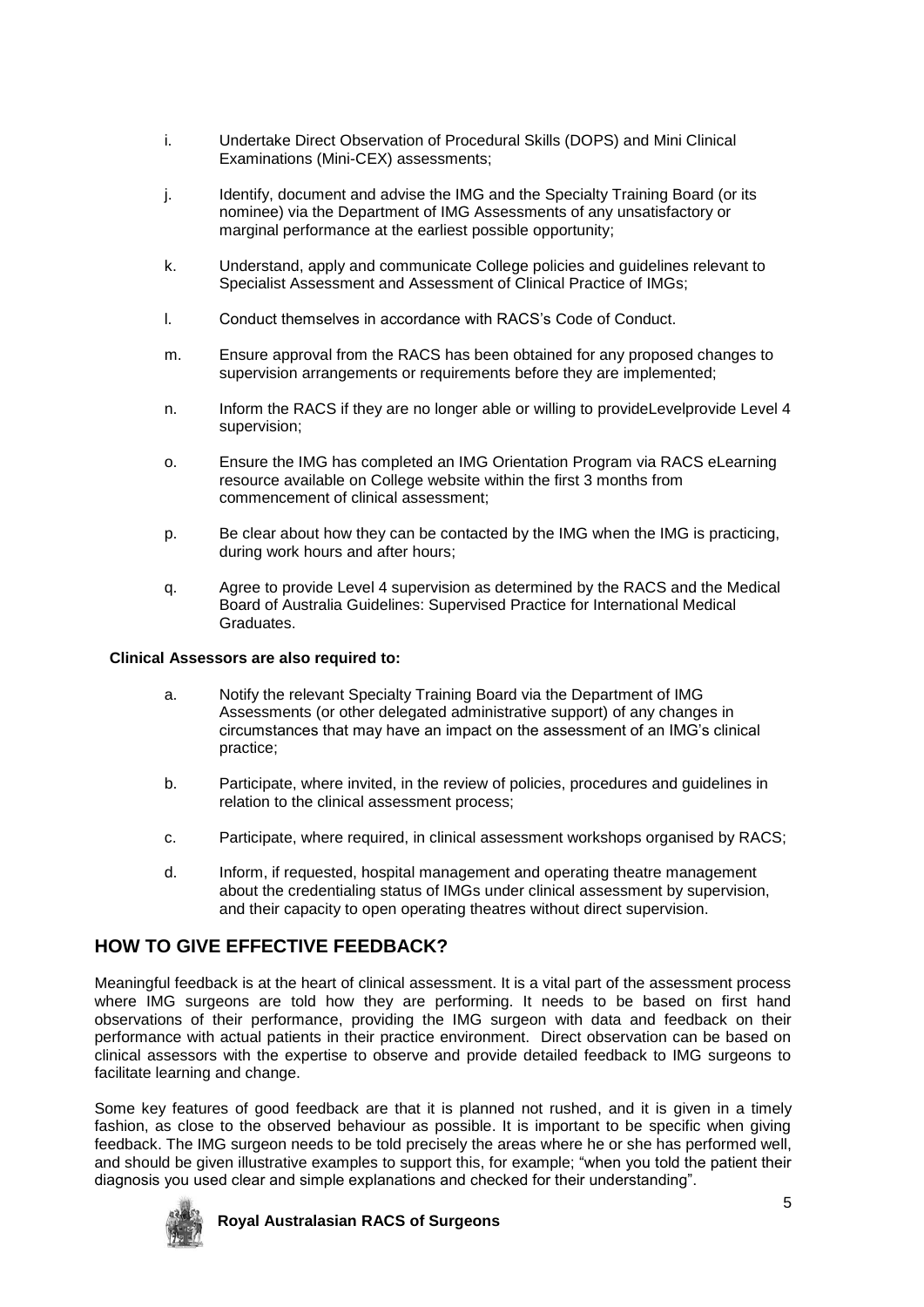- i. Undertake Direct Observation of Procedural Skills (DOPS) and Mini Clinical Examinations (Mini-CEX) assessments;
- j. Identify, document and advise the IMG and the Specialty Training Board (or its nominee) via the Department of IMG Assessments of any unsatisfactory or marginal performance at the earliest possible opportunity;
- k. Understand, apply and communicate College policies and guidelines relevant to Specialist Assessment and Assessment of Clinical Practice of IMGs;
- l. Conduct themselves in accordance with RACS's Code of Conduct.
- m. Ensure approval from the RACS has been obtained for any proposed changes to supervision arrangements or requirements before they are implemented;
- n. Inform the RACS if they are no longer able or willing to provideLevelprovide Level 4 supervision;
- o. Ensure the IMG has completed an IMG Orientation Program via RACS eLearning resource available on College website within the first 3 months from commencement of clinical assessment;
- p. Be clear about how they can be contacted by the IMG when the IMG is practicing, during work hours and after hours;
- q. Agree to provide Level 4 supervision as determined by the RACS and the Medical Board of Australia Guidelines: Supervised Practice for International Medical **Graduates**

## **Clinical Assessors are also required to:**

- a. Notify the relevant Specialty Training Board via the Department of IMG Assessments (or other delegated administrative support) of any changes in circumstances that may have an impact on the assessment of an IMG's clinical practice;
- b. Participate, where invited, in the review of policies, procedures and guidelines in relation to the clinical assessment process;
- c. Participate, where required, in clinical assessment workshops organised by RACS;
- d. Inform, if requested, hospital management and operating theatre management about the credentialing status of IMGs under clinical assessment by supervision, and their capacity to open operating theatres without direct supervision.

# **HOW TO GIVE EFFECTIVE FEEDBACK?**

Meaningful feedback is at the heart of clinical assessment. It is a vital part of the assessment process where IMG surgeons are told how they are performing. It needs to be based on first hand observations of their performance, providing the IMG surgeon with data and feedback on their performance with actual patients in their practice environment. Direct observation can be based on clinical assessors with the expertise to observe and provide detailed feedback to IMG surgeons to facilitate learning and change.

Some key features of good feedback are that it is planned not rushed, and it is given in a timely fashion, as close to the observed behaviour as possible. It is important to be specific when giving feedback. The IMG surgeon needs to be told precisely the areas where he or she has performed well, and should be given illustrative examples to support this, for example; "when you told the patient their diagnosis you used clear and simple explanations and checked for their understanding".

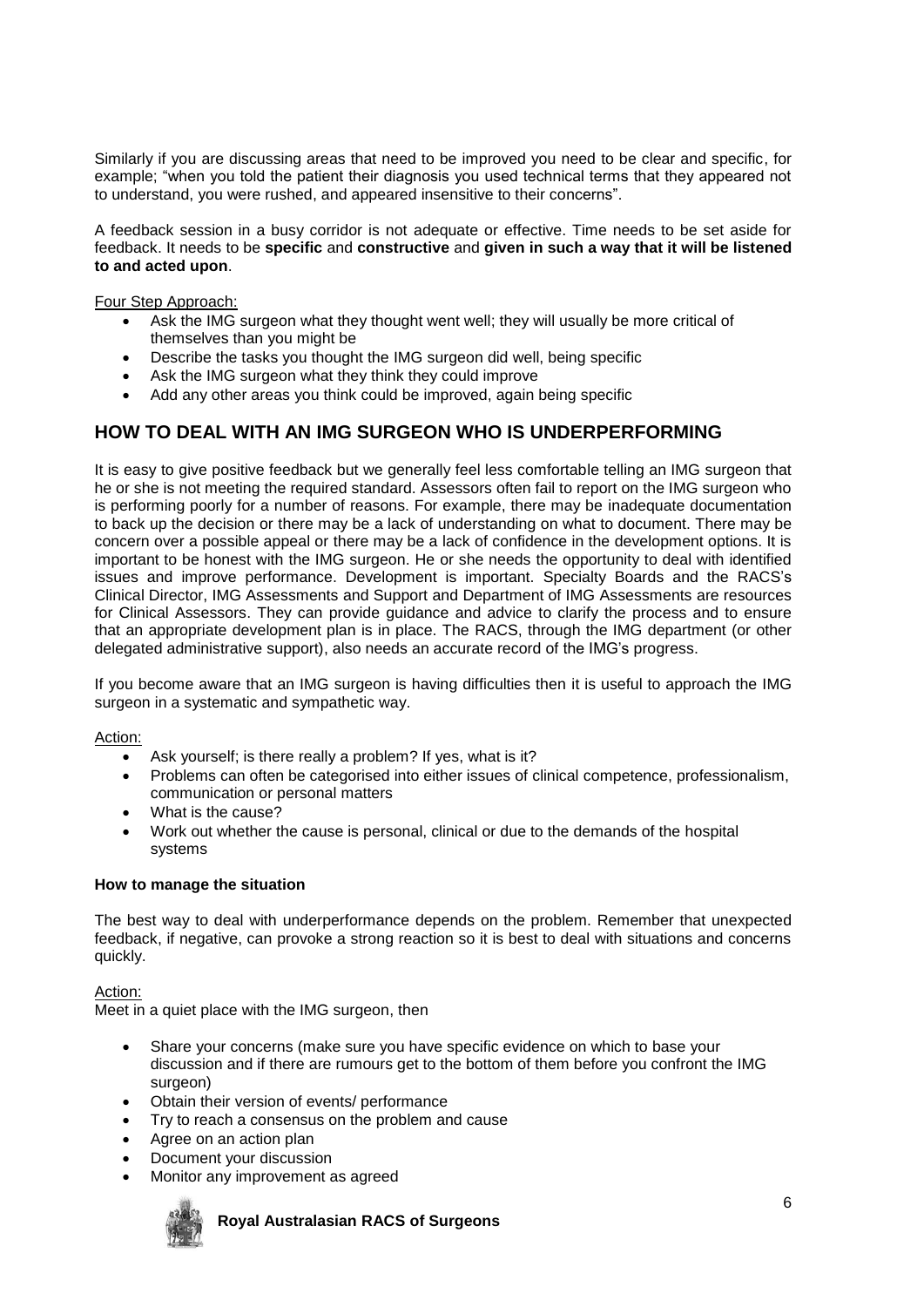Similarly if you are discussing areas that need to be improved you need to be clear and specific, for example; "when you told the patient their diagnosis you used technical terms that they appeared not to understand, you were rushed, and appeared insensitive to their concerns".

A feedback session in a busy corridor is not adequate or effective. Time needs to be set aside for feedback. It needs to be **specific** and **constructive** and **given in such a way that it will be listened to and acted upon**.

## Four Step Approach:

- Ask the IMG surgeon what they thought went well; they will usually be more critical of themselves than you might be
- Describe the tasks you thought the IMG surgeon did well, being specific
- Ask the IMG surgeon what they think they could improve
- Add any other areas you think could be improved, again being specific

# **HOW TO DEAL WITH AN IMG SURGEON WHO IS UNDERPERFORMING**

It is easy to give positive feedback but we generally feel less comfortable telling an IMG surgeon that he or she is not meeting the required standard. Assessors often fail to report on the IMG surgeon who is performing poorly for a number of reasons. For example, there may be inadequate documentation to back up the decision or there may be a lack of understanding on what to document. There may be concern over a possible appeal or there may be a lack of confidence in the development options. It is important to be honest with the IMG surgeon. He or she needs the opportunity to deal with identified issues and improve performance. Development is important. Specialty Boards and the RACS's Clinical Director, IMG Assessments and Support and Department of IMG Assessments are resources for Clinical Assessors. They can provide guidance and advice to clarify the process and to ensure that an appropriate development plan is in place. The RACS, through the IMG department (or other delegated administrative support), also needs an accurate record of the IMG's progress.

If you become aware that an IMG surgeon is having difficulties then it is useful to approach the IMG surgeon in a systematic and sympathetic way.

Action:

- Ask yourself; is there really a problem? If yes, what is it?
- Problems can often be categorised into either issues of clinical competence, professionalism, communication or personal matters
- What is the cause?
- Work out whether the cause is personal, clinical or due to the demands of the hospital systems

#### **How to manage the situation**

The best way to deal with underperformance depends on the problem. Remember that unexpected feedback, if negative, can provoke a strong reaction so it is best to deal with situations and concerns quickly.

Action:

Meet in a quiet place with the IMG surgeon, then

- Share your concerns (make sure you have specific evidence on which to base your discussion and if there are rumours get to the bottom of them before you confront the IMG surgeon)
- Obtain their version of events/ performance
- Try to reach a consensus on the problem and cause
- Agree on an action plan
- Document your discussion
- Monitor any improvement as agreed

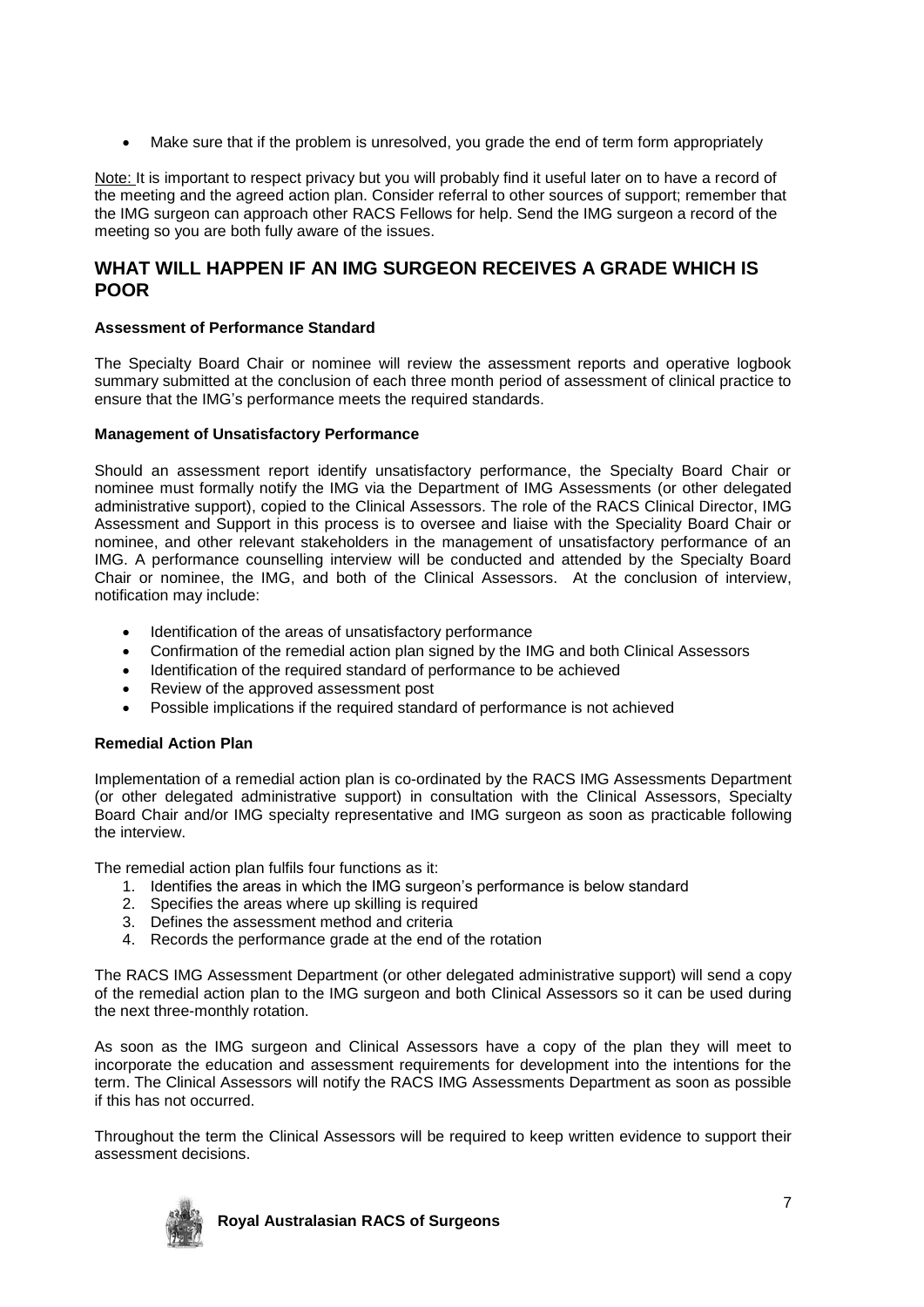Make sure that if the problem is unresolved, you grade the end of term form appropriately

Note: It is important to respect privacy but you will probably find it useful later on to have a record of the meeting and the agreed action plan. Consider referral to other sources of support; remember that the IMG surgeon can approach other RACS Fellows for help. Send the IMG surgeon a record of the meeting so you are both fully aware of the issues.

# **WHAT WILL HAPPEN IF AN IMG SURGEON RECEIVES A GRADE WHICH IS POOR**

## **Assessment of Performance Standard**

The Specialty Board Chair or nominee will review the assessment reports and operative logbook summary submitted at the conclusion of each three month period of assessment of clinical practice to ensure that the IMG's performance meets the required standards.

### **Management of Unsatisfactory Performance**

Should an assessment report identify unsatisfactory performance, the Specialty Board Chair or nominee must formally notify the IMG via the Department of IMG Assessments (or other delegated administrative support), copied to the Clinical Assessors. The role of the RACS Clinical Director, IMG Assessment and Support in this process is to oversee and liaise with the Speciality Board Chair or nominee, and other relevant stakeholders in the management of unsatisfactory performance of an IMG. A performance counselling interview will be conducted and attended by the Specialty Board Chair or nominee, the IMG, and both of the Clinical Assessors. At the conclusion of interview, notification may include:

- Identification of the areas of unsatisfactory performance
- Confirmation of the remedial action plan signed by the IMG and both Clinical Assessors
- Identification of the required standard of performance to be achieved
- Review of the approved assessment post
- Possible implications if the required standard of performance is not achieved

## **Remedial Action Plan**

Implementation of a remedial action plan is co-ordinated by the RACS IMG Assessments Department (or other delegated administrative support) in consultation with the Clinical Assessors, Specialty Board Chair and/or IMG specialty representative and IMG surgeon as soon as practicable following the interview.

The remedial action plan fulfils four functions as it:

- 1. Identifies the areas in which the IMG surgeon's performance is below standard
- 2. Specifies the areas where up skilling is required
- 3. Defines the assessment method and criteria
- 4. Records the performance grade at the end of the rotation

The RACS IMG Assessment Department (or other delegated administrative support) will send a copy of the remedial action plan to the IMG surgeon and both Clinical Assessors so it can be used during the next three-monthly rotation.

As soon as the IMG surgeon and Clinical Assessors have a copy of the plan they will meet to incorporate the education and assessment requirements for development into the intentions for the term. The Clinical Assessors will notify the RACS IMG Assessments Department as soon as possible if this has not occurred.

Throughout the term the Clinical Assessors will be required to keep written evidence to support their assessment decisions.

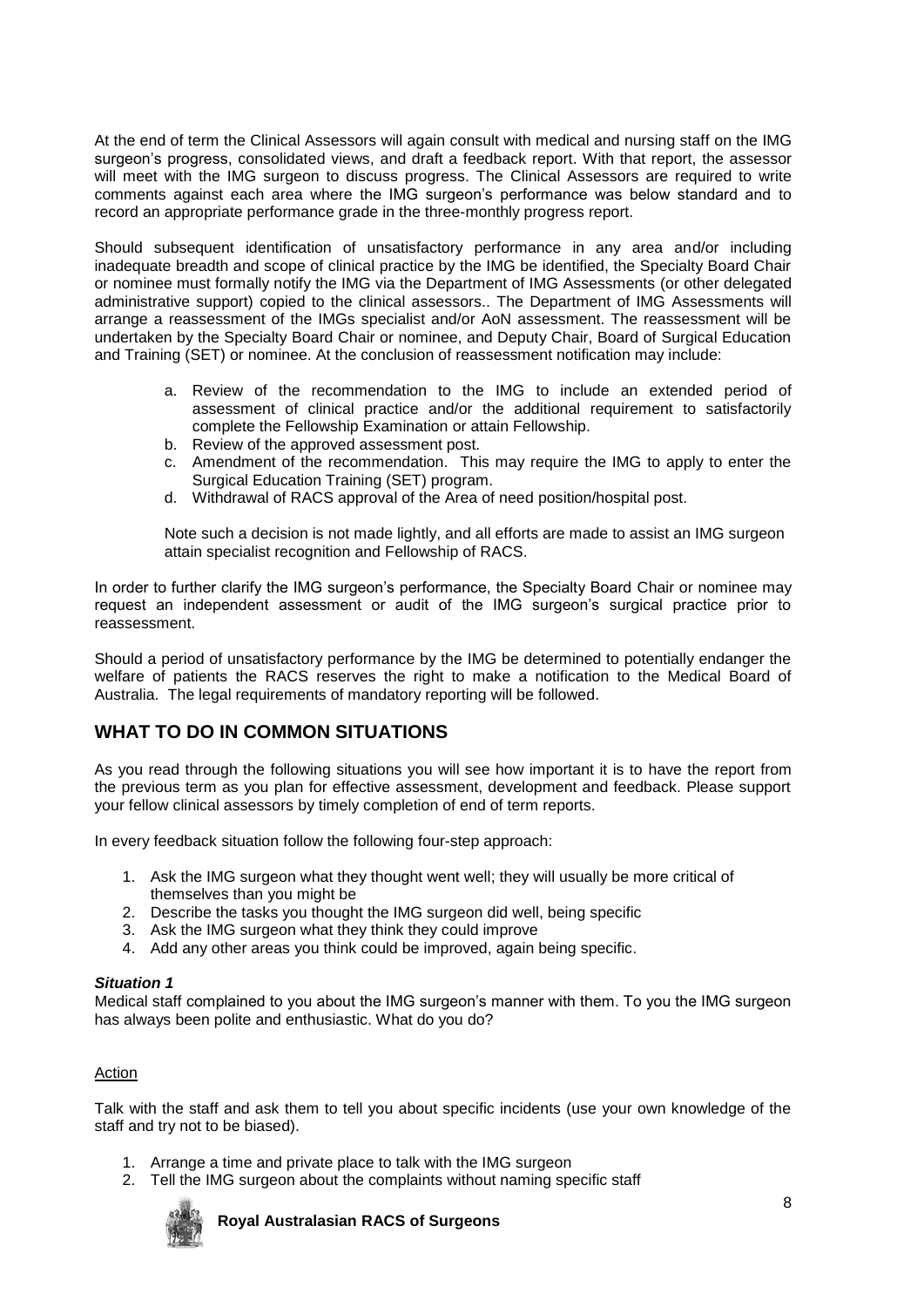At the end of term the Clinical Assessors will again consult with medical and nursing staff on the IMG surgeon's progress, consolidated views, and draft a feedback report. With that report, the assessor will meet with the IMG surgeon to discuss progress. The Clinical Assessors are required to write comments against each area where the IMG surgeon's performance was below standard and to record an appropriate performance grade in the three-monthly progress report.

Should subsequent identification of unsatisfactory performance in any area and/or including inadequate breadth and scope of clinical practice by the IMG be identified, the Specialty Board Chair or nominee must formally notify the IMG via the Department of IMG Assessments (or other delegated administrative support) copied to the clinical assessors.. The Department of IMG Assessments will arrange a reassessment of the IMGs specialist and/or AoN assessment. The reassessment will be undertaken by the Specialty Board Chair or nominee, and Deputy Chair, Board of Surgical Education and Training (SET) or nominee. At the conclusion of reassessment notification may include:

- a. Review of the recommendation to the IMG to include an extended period of assessment of clinical practice and/or the additional requirement to satisfactorily complete the Fellowship Examination or attain Fellowship.
- b. Review of the approved assessment post.
- c. Amendment of the recommendation. This may require the IMG to apply to enter the Surgical Education Training (SET) program.
- d. Withdrawal of RACS approval of the Area of need position/hospital post.

Note such a decision is not made lightly, and all efforts are made to assist an IMG surgeon attain specialist recognition and Fellowship of RACS.

In order to further clarify the IMG surgeon's performance, the Specialty Board Chair or nominee may request an independent assessment or audit of the IMG surgeon's surgical practice prior to reassessment.

Should a period of unsatisfactory performance by the IMG be determined to potentially endanger the welfare of patients the RACS reserves the right to make a notification to the Medical Board of Australia. The legal requirements of mandatory reporting will be followed.

# **WHAT TO DO IN COMMON SITUATIONS**

As you read through the following situations you will see how important it is to have the report from the previous term as you plan for effective assessment, development and feedback. Please support your fellow clinical assessors by timely completion of end of term reports.

In every feedback situation follow the following four-step approach:

- 1. Ask the IMG surgeon what they thought went well; they will usually be more critical of themselves than you might be
- 2. Describe the tasks you thought the IMG surgeon did well, being specific
- 3. Ask the IMG surgeon what they think they could improve
- 4. Add any other areas you think could be improved, again being specific.

#### *Situation 1*

Medical staff complained to you about the IMG surgeon's manner with them. To you the IMG surgeon has always been polite and enthusiastic. What do you do?

## Action

Talk with the staff and ask them to tell you about specific incidents (use your own knowledge of the staff and try not to be biased).

- 1. Arrange a time and private place to talk with the IMG surgeon
- 2. Tell the IMG surgeon about the complaints without naming specific staff

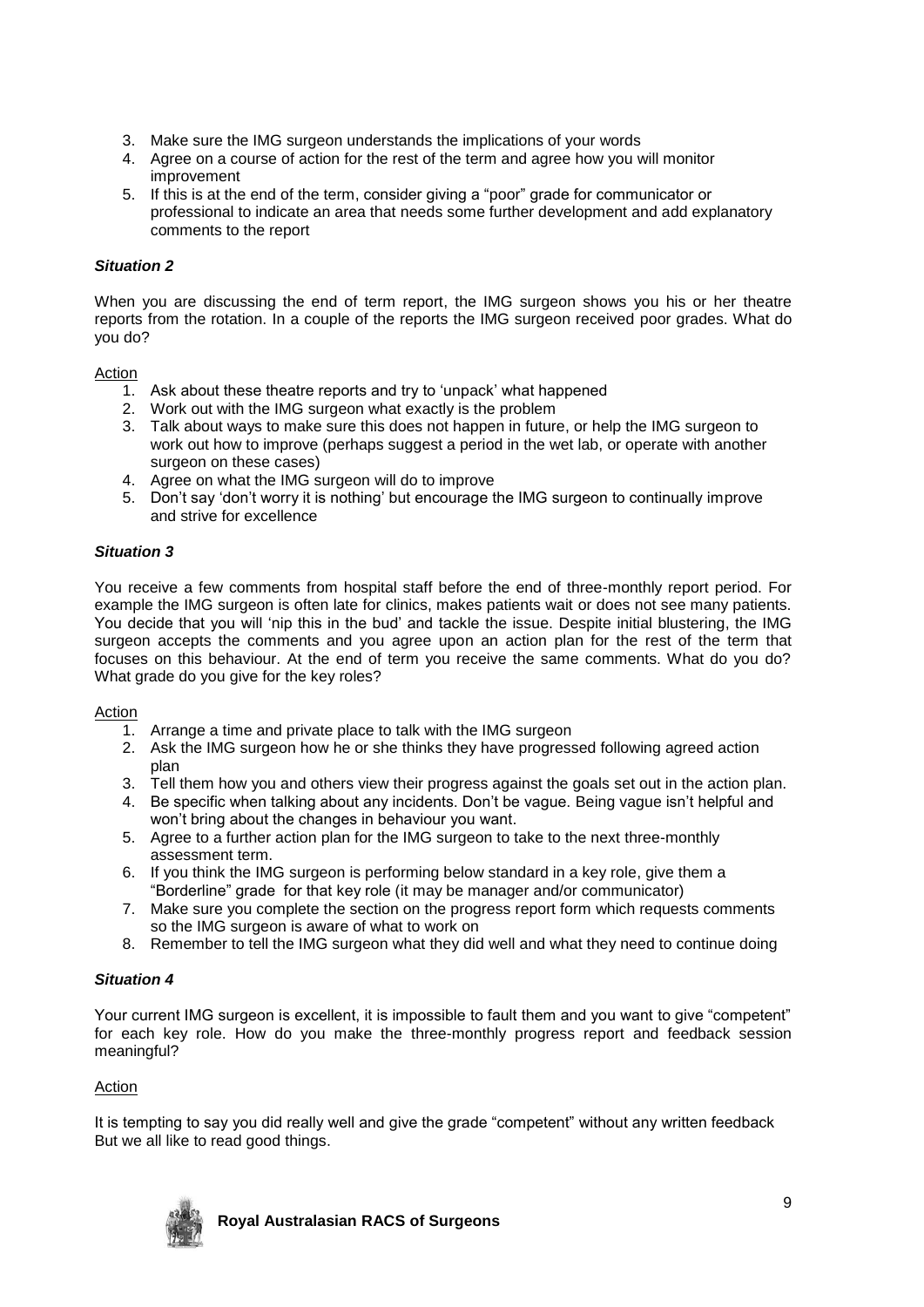- 3. Make sure the IMG surgeon understands the implications of your words
- 4. Agree on a course of action for the rest of the term and agree how you will monitor improvement
- 5. If this is at the end of the term, consider giving a "poor" grade for communicator or professional to indicate an area that needs some further development and add explanatory comments to the report

## *Situation 2*

When you are discussing the end of term report, the IMG surgeon shows you his or her theatre reports from the rotation. In a couple of the reports the IMG surgeon received poor grades. What do you do?

Action

- 1. Ask about these theatre reports and try to 'unpack' what happened
- 2. Work out with the IMG surgeon what exactly is the problem
- 3. Talk about ways to make sure this does not happen in future, or help the IMG surgeon to work out how to improve (perhaps suggest a period in the wet lab, or operate with another surgeon on these cases)
- 4. Agree on what the IMG surgeon will do to improve
- 5. Don't say 'don't worry it is nothing' but encourage the IMG surgeon to continually improve and strive for excellence

## *Situation 3*

You receive a few comments from hospital staff before the end of three-monthly report period. For example the IMG surgeon is often late for clinics, makes patients wait or does not see many patients. You decide that you will 'nip this in the bud' and tackle the issue. Despite initial blustering, the IMG surgeon accepts the comments and you agree upon an action plan for the rest of the term that focuses on this behaviour. At the end of term you receive the same comments. What do you do? What grade do you give for the key roles?

## Action

- 1. Arrange a time and private place to talk with the IMG surgeon
- 2. Ask the IMG surgeon how he or she thinks they have progressed following agreed action plan
- 3. Tell them how you and others view their progress against the goals set out in the action plan.
- 4. Be specific when talking about any incidents. Don't be vague. Being vague isn't helpful and won't bring about the changes in behaviour you want.
- 5. Agree to a further action plan for the IMG surgeon to take to the next three-monthly assessment term.
- 6. If you think the IMG surgeon is performing below standard in a key role, give them a "Borderline" grade for that key role (it may be manager and/or communicator)
- 7. Make sure you complete the section on the progress report form which requests comments so the IMG surgeon is aware of what to work on
- 8. Remember to tell the IMG surgeon what they did well and what they need to continue doing

## *Situation 4*

Your current IMG surgeon is excellent, it is impossible to fault them and you want to give "competent" for each key role. How do you make the three-monthly progress report and feedback session meaningful?

## Action

It is tempting to say you did really well and give the grade "competent" without any written feedback But we all like to read good things.

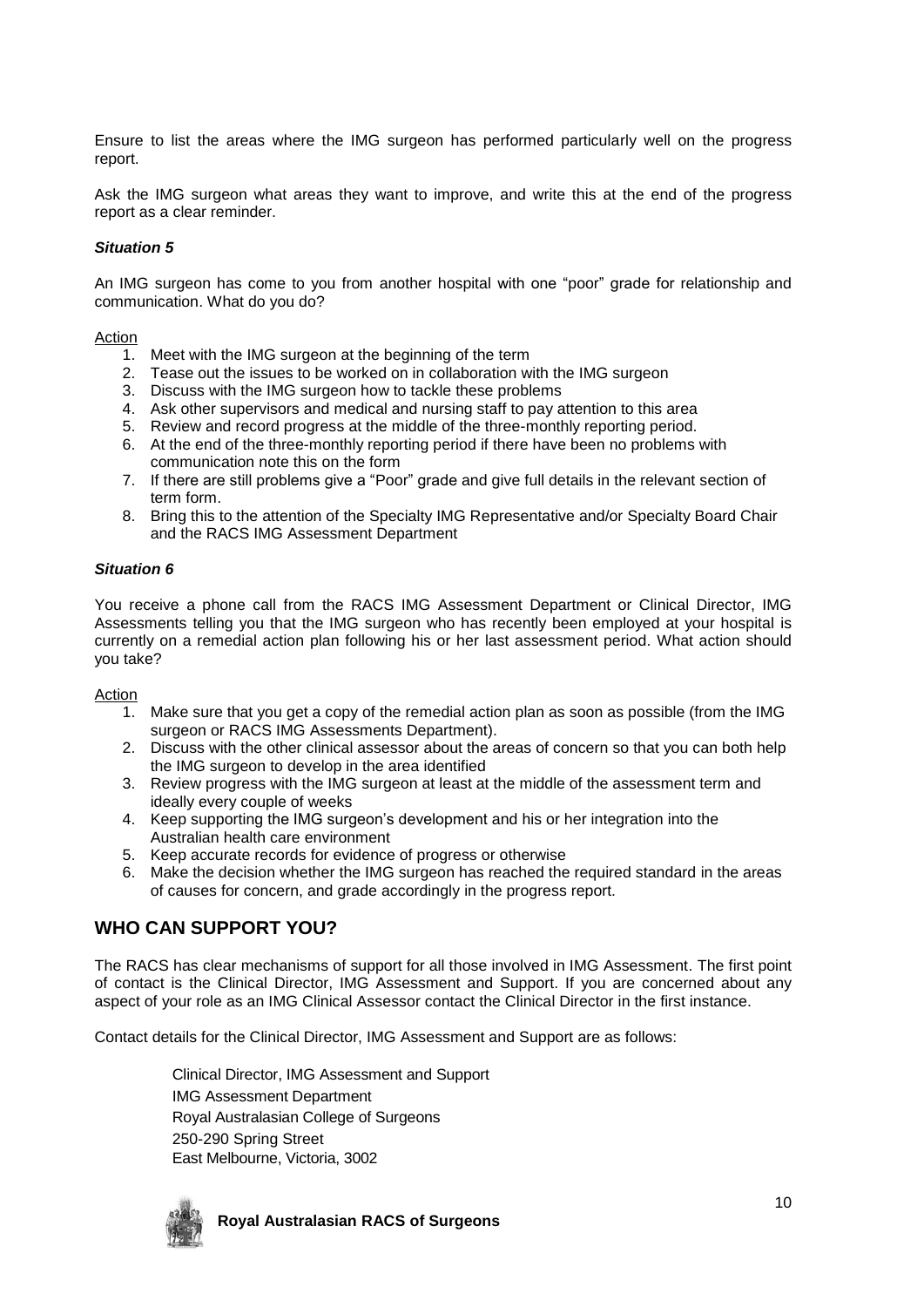Ensure to list the areas where the IMG surgeon has performed particularly well on the progress report.

Ask the IMG surgeon what areas they want to improve, and write this at the end of the progress report as a clear reminder.

## *Situation 5*

An IMG surgeon has come to you from another hospital with one "poor" grade for relationship and communication. What do you do?

#### **Action**

- 1. Meet with the IMG surgeon at the beginning of the term
- 2. Tease out the issues to be worked on in collaboration with the IMG surgeon
- 3. Discuss with the IMG surgeon how to tackle these problems
- 4. Ask other supervisors and medical and nursing staff to pay attention to this area
- 5. Review and record progress at the middle of the three-monthly reporting period.
- 6. At the end of the three-monthly reporting period if there have been no problems with communication note this on the form
- 7. If there are still problems give a "Poor" grade and give full details in the relevant section of term form.
- 8. Bring this to the attention of the Specialty IMG Representative and/or Specialty Board Chair and the RACS IMG Assessment Department

### *Situation 6*

You receive a phone call from the RACS IMG Assessment Department or Clinical Director, IMG Assessments telling you that the IMG surgeon who has recently been employed at your hospital is currently on a remedial action plan following his or her last assessment period. What action should you take?

#### **Action**

- 1. Make sure that you get a copy of the remedial action plan as soon as possible (from the IMG surgeon or RACS IMG Assessments Department).
- 2. Discuss with the other clinical assessor about the areas of concern so that you can both help the IMG surgeon to develop in the area identified
- 3. Review progress with the IMG surgeon at least at the middle of the assessment term and ideally every couple of weeks
- 4. Keep supporting the IMG surgeon's development and his or her integration into the Australian health care environment
- 5. Keep accurate records for evidence of progress or otherwise
- 6. Make the decision whether the IMG surgeon has reached the required standard in the areas of causes for concern, and grade accordingly in the progress report.

# **WHO CAN SUPPORT YOU?**

The RACS has clear mechanisms of support for all those involved in IMG Assessment. The first point of contact is the Clinical Director, IMG Assessment and Support. If you are concerned about any aspect of your role as an IMG Clinical Assessor contact the Clinical Director in the first instance.

Contact details for the Clinical Director, IMG Assessment and Support are as follows:

Clinical Director, IMG Assessment and Support IMG Assessment Department Royal Australasian College of Surgeons 250-290 Spring Street East Melbourne, Victoria, 3002

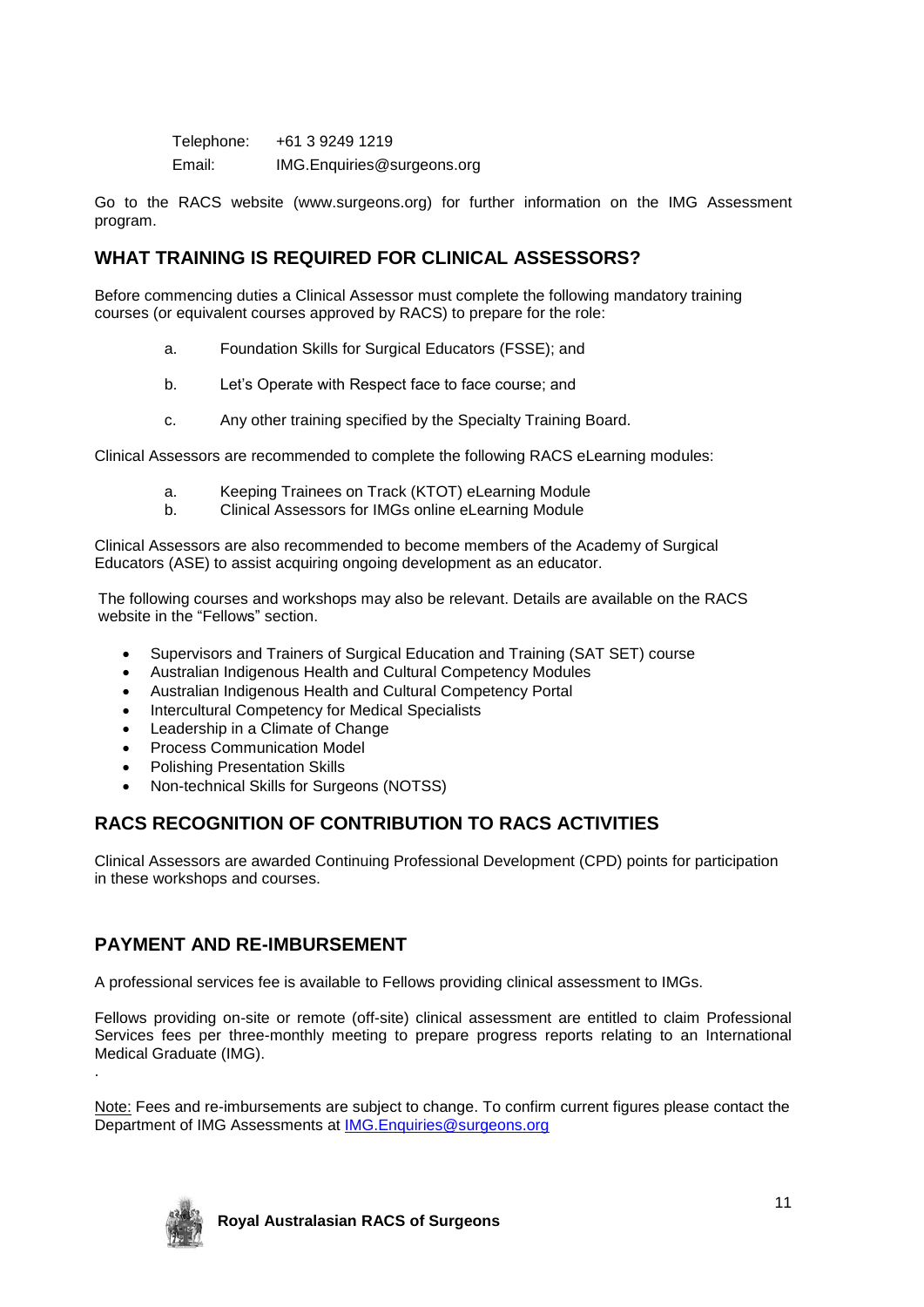Telephone: +61 3 9249 1219 Email: IMG.Enquiries@surgeons.org

Go to the RACS website (www.surgeons.org) for further information on the IMG Assessment program.

# **WHAT TRAINING IS REQUIRED FOR CLINICAL ASSESSORS?**

Before commencing duties a Clinical Assessor must complete the following mandatory training courses (or equivalent courses approved by RACS) to prepare for the role:

- a. Foundation Skills for Surgical Educators (FSSE); and
- b. Let's Operate with Respect face to face course; and
- c. Any other training specified by the Specialty Training Board.

Clinical Assessors are recommended to complete the following RACS eLearning modules:

- a. Keeping Trainees on Track (KTOT) eLearning Module
- b. Clinical Assessors for IMGs online eLearning Module

Clinical Assessors are also recommended to become members of the Academy of Surgical Educators (ASE) to assist acquiring ongoing development as an educator.

The following courses and workshops may also be relevant. Details are available on the RACS website in the "Fellows" section.

- Supervisors and Trainers of Surgical Education and Training (SAT SET) course
- Australian Indigenous Health and Cultural Competency Modules
- Australian Indigenous Health and Cultural Competency Portal
- Intercultural Competency for Medical Specialists
- Leadership in a Climate of Change
- Process Communication Model
- Polishing Presentation Skills
- Non-technical Skills for Surgeons (NOTSS)

# **RACS RECOGNITION OF CONTRIBUTION TO RACS ACTIVITIES**

Clinical Assessors are awarded Continuing Professional Development (CPD) points for participation in these workshops and courses.

# **PAYMENT AND RE-IMBURSEMENT**

A professional services fee is available to Fellows providing clinical assessment to IMGs.

Fellows providing on-site or remote (off-site) clinical assessment are entitled to claim Professional Services fees per three-monthly meeting to prepare progress reports relating to an International Medical Graduate (IMG). .

Note: Fees and re-imbursements are subject to change. To confirm current figures please contact the Department of IMG Assessments at [IMG.Enquiries@surgeons.org](mailto:IMG.Enquiries@surgeons.org)